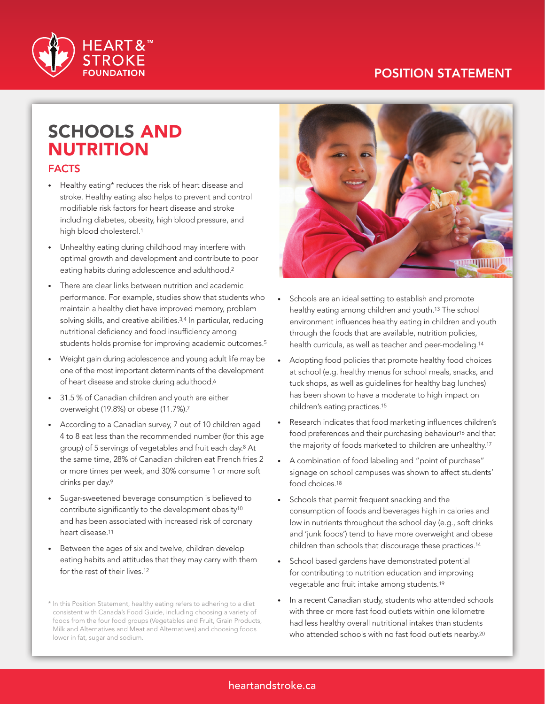### POSITION STATEMENT



# SCHOOLS AND NUTRITION

#### FACTS

- Healthy eating\* reduces the risk of heart disease and stroke. Healthy eating also helps to prevent and control modifiable risk factors for heart disease and stroke including diabetes, obesity, high blood pressure, and high blood cholesterol.<sup>1</sup>
- Unhealthy eating during childhood may interfere with optimal growth and development and contribute to poor eating habits during adolescence and adulthood.2
- There are clear links between nutrition and academic performance. For example, studies show that students who maintain a healthy diet have improved memory, problem solving skills, and creative abilities.<sup>3,4</sup> In particular, reducing nutritional deficiency and food insufficiency among students holds promise for improving academic outcomes.<sup>5</sup>
- Weight gain during adolescence and young adult life may be one of the most important determinants of the development of heart disease and stroke during adulthood.<sup>6</sup>
- 31.5 % of Canadian children and youth are either overweight (19.8%) or obese (11.7%).7
- According to a Canadian survey, 7 out of 10 children aged 4 to 8 eat less than the recommended number (for this age group) of 5 servings of vegetables and fruit each day.8 At the same time, 28% of Canadian children eat French fries 2 or more times per week, and 30% consume 1 or more soft drinks per day.<sup>9</sup>
- Sugar-sweetened beverage consumption is believed to contribute significantly to the development obesity10 and has been associated with increased risk of coronary heart disease.<sup>11</sup>
- Between the ages of six and twelve, children develop eating habits and attitudes that they may carry with them for the rest of their lives.12

<sup>\*</sup> In this Position Statement, healthy eating refers to adhering to a diet consistent with Canada's Food Guide, including choosing a variety of foods from the four food groups (Vegetables and Fruit, Grain Products, Milk and Alternatives and Meat and Alternatives) and choosing foods lower in fat, sugar and sodium.



- Schools are an ideal setting to establish and promote healthy eating among children and youth.13 The school environment influences healthy eating in children and youth through the foods that are available, nutrition policies, health curricula, as well as teacher and peer-modeling.14
- Adopting food policies that promote healthy food choices at school (e.g. healthy menus for school meals, snacks, and tuck shops, as well as guidelines for healthy bag lunches) has been shown to have a moderate to high impact on children's eating practices.15
- Research indicates that food marketing influences children's food preferences and their purchasing behaviour<sup>16</sup> and that the majority of foods marketed to children are unhealthy.17
- A combination of food labeling and "point of purchase" signage on school campuses was shown to affect students' food choices.18
- • Schools that permit frequent snacking and the consumption of foods and beverages high in calories and low in nutrients throughout the school day (e.g., soft drinks and 'junk foods') tend to have more overweight and obese children than schools that discourage these practices.14
- School based gardens have demonstrated potential for contributing to nutrition education and improving vegetable and fruit intake among students.19
- In a recent Canadian study, students who attended schools with three or more fast food outlets within one kilometre had less healthy overall nutritional intakes than students who attended schools with no fast food outlets nearby.<sup>20</sup>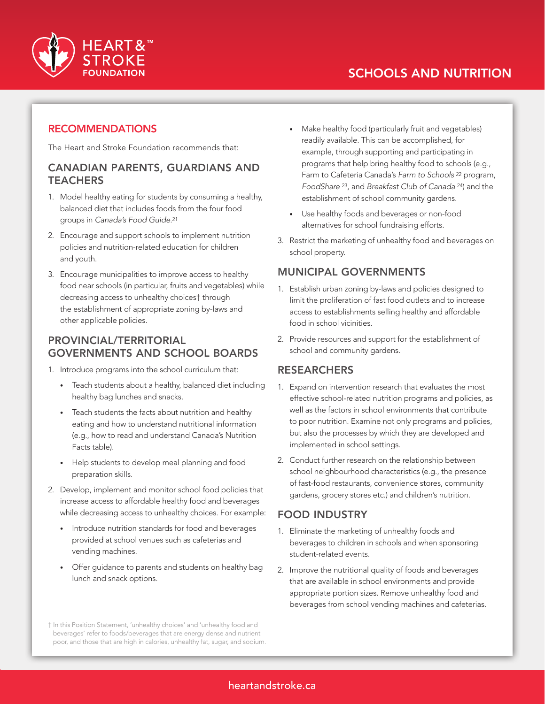

Make healthy food (particularly fruit and vegetables) readily available. This can be accomplished, for example, through supporting and participating in programs that help bring healthy food to schools (e.g., Farm to Cafeteria Canada's *Farm to Schools* <sup>22</sup> program, *FoodShare* 23, and *Breakfast Club of Canada* 24) and the

establishment of school community gardens. • Use healthy foods and beverages or non-food alternatives for school fundraising efforts.

3. Restrict the marketing of unhealthy food and beverages on

1. Establish urban zoning by-laws and policies designed to limit the proliferation of fast food outlets and to increase access to establishments selling healthy and affordable

2. Provide resources and support for the establishment of

#### **RECOMMENDATIONS**

The Heart and Stroke Foundation recommends that:

#### CANADIAN PARENTS, GUARDIANS AND **TEACHERS**

- 1. Model healthy eating for students by consuming a healthy, balanced diet that includes foods from the four food groups in *Canada's Food Guide*.21
- 2. Encourage and support schools to implement nutrition policies and nutrition-related education for children and youth.
- 3. Encourage municipalities to improve access to healthy food near schools (in particular, fruits and vegetables) while decreasing access to unhealthy choices† through the establishment of appropriate zoning by-laws and other applicable policies.

#### PROVINCIAL/TERRITORIAL GOVERNMENTS AND SCHOOL BOARDS

- 1. Introduce programs into the school curriculum that:
	- Teach students about a healthy, balanced diet including healthy bag lunches and snacks.
	- Teach students the facts about nutrition and healthy eating and how to understand nutritional information (e.g., how to read and understand Canada's Nutrition Facts table).
	- Help students to develop meal planning and food preparation skills.
- 2. Develop, implement and monitor school food policies that increase access to affordable healthy food and beverages while decreasing access to unhealthy choices. For example:
	- Introduce nutrition standards for food and beverages provided at school venues such as cafeterias and vending machines.
	- • Offer guidance to parents and students on healthy bag lunch and snack options.

school and community gardens. RESEARCHERS 1. Expand on intervention research that evaluates the most

school property.

food in school vicinities.

MUNICIPAL GOVERNMENTS

- effective school-related nutrition programs and policies, as well as the factors in school environments that contribute to poor nutrition. Examine not only programs and policies, but also the processes by which they are developed and implemented in school settings.
- 2. Conduct further research on the relationship between school neighbourhood characteristics (e.g., the presence of fast-food restaurants, convenience stores, community gardens, grocery stores etc.) and children's nutrition.

#### FOOD INDUSTRY

- 1. Eliminate the marketing of unhealthy foods and beverages to children in schools and when sponsoring student-related events.
- 2. Improve the nutritional quality of foods and beverages that are available in school environments and provide appropriate portion sizes. Remove unhealthy food and beverages from school vending machines and cafeterias.

<sup>†</sup> In this Position Statement, 'unhealthy choices' and 'unhealthy food and beverages' refer to foods/beverages that are energy dense and nutrient poor, and those that are high in calories, unhealthy fat, sugar, and sodium.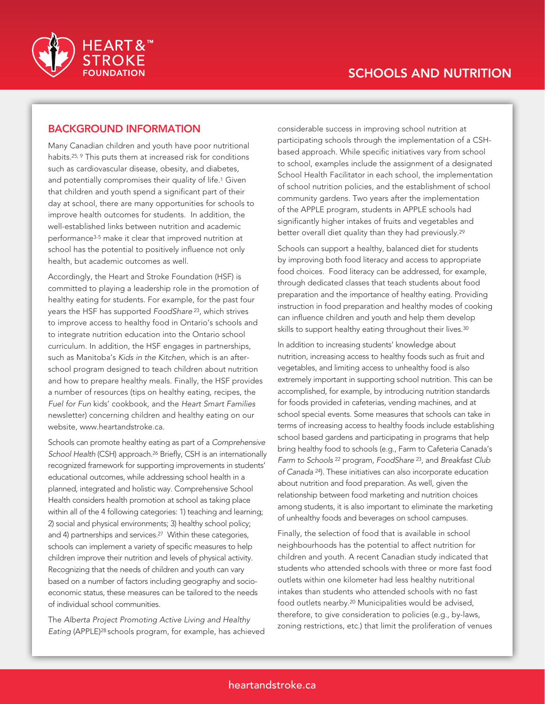

#### BACKGROUND INFORMATION

Many Canadian children and youth have poor nutritional habits.25, 9 This puts them at increased risk for conditions such as cardiovascular disease, obesity, and diabetes, and potentially compromises their quality of life.<sup>1</sup> Given that children and youth spend a significant part of their day at school, there are many opportunities for schools to improve health outcomes for students. In addition, the well-established links between nutrition and academic performance3-5 make it clear that improved nutrition at school has the potential to positively influence not only health, but academic outcomes as well.

Accordingly, the Heart and Stroke Foundation (HSF) is committed to playing a leadership role in the promotion of healthy eating for students. For example, for the past four years the HSF has supported *FoodShare* 23, which strives to improve access to healthy food in Ontario's schools and to integrate nutrition education into the Ontario school curriculum. In addition, the HSF engages in partnerships, such as Manitoba's *Kids in the Kitchen*, which is an afterschool program designed to teach children about nutrition and how to prepare healthy meals. Finally, the HSF provides a number of resources (tips on healthy eating, recipes, the *Fuel for Fun* kids' cookbook, and the *Heart Smart Families*  newsletter) concerning children and healthy eating on our website, www.heartandstroke.ca.

Schools can promote healthy eating as part of a *Comprehensive School Health* (CSH) approach.26 Briefly, CSH is an internationally recognized framework for supporting improvements in students' educational outcomes, while addressing school health in a planned, integrated and holistic way. Comprehensive School Health considers health promotion at school as taking place within all of the 4 following categories: 1) teaching and learning; 2) social and physical environments; 3) healthy school policy; and 4) partnerships and services.27 Within these categories, schools can implement a variety of specific measures to help children improve their nutrition and levels of physical activity. Recognizing that the needs of children and youth can vary based on a number of factors including geography and socioeconomic status, these measures can be tailored to the needs of individual school communities.

The *Alberta Project Promoting Active Living and Healthy Eating* (APPLE)28 schools program, for example, has achieved considerable success in improving school nutrition at participating schools through the implementation of a CSHbased approach. While specific initiatives vary from school to school, examples include the assignment of a designated School Health Facilitator in each school, the implementation of school nutrition policies, and the establishment of school community gardens. Two years after the implementation of the APPLE program, students in APPLE schools had significantly higher intakes of fruits and vegetables and better overall diet quality than they had previously.<sup>29</sup>

Schools can support a healthy, balanced diet for students by improving both food literacy and access to appropriate food choices. Food literacy can be addressed, for example, through dedicated classes that teach students about food preparation and the importance of healthy eating. Providing instruction in food preparation and healthy modes of cooking can influence children and youth and help them develop skills to support healthy eating throughout their lives.<sup>30</sup>

In addition to increasing students' knowledge about nutrition, increasing access to healthy foods such as fruit and vegetables, and limiting access to unhealthy food is also extremely important in supporting school nutrition. This can be accomplished, for example, by introducing nutrition standards for foods provided in cafeterias, vending machines, and at school special events. Some measures that schools can take in terms of increasing access to healthy foods include establishing school based gardens and participating in programs that help bring healthy food to schools (e.g., Farm to Cafeteria Canada's *Farm to Schools* 22 program, *FoodShare* 23, and *Breakfast Club of Canada* 24). These initiatives can also incorporate education about nutrition and food preparation. As well, given the relationship between food marketing and nutrition choices among students, it is also important to eliminate the marketing of unhealthy foods and beverages on school campuses.

Finally, the selection of food that is available in school neighbourhoods has the potential to affect nutrition for children and youth. A recent Canadian study indicated that students who attended schools with three or more fast food outlets within one kilometer had less healthy nutritional intakes than students who attended schools with no fast food outlets nearby.20 Municipalities would be advised, therefore, to give consideration to policies (e.g., by-laws, zoning restrictions, etc.) that limit the proliferation of venues